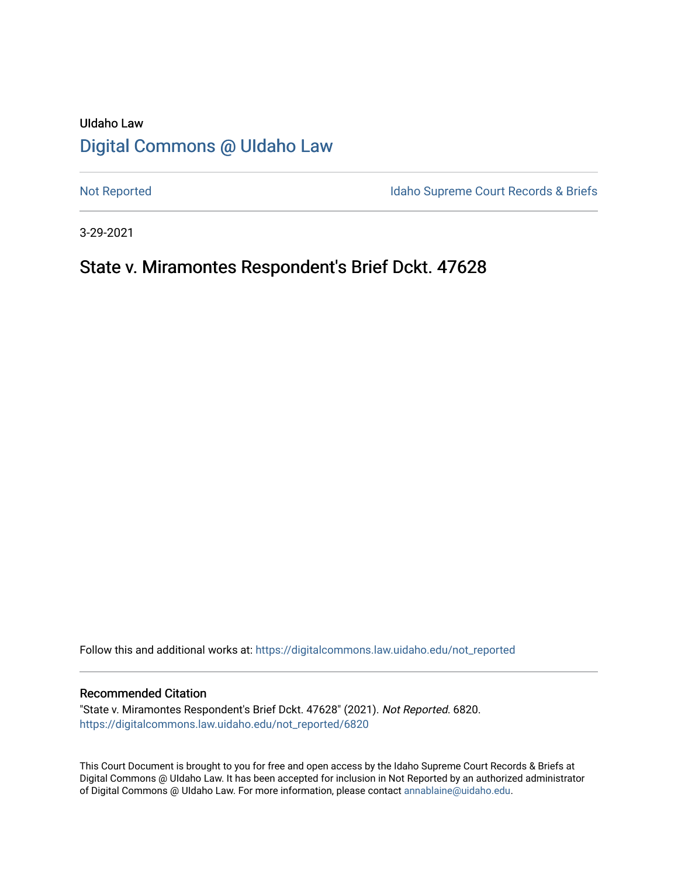## UIdaho Law [Digital Commons @ UIdaho Law](https://digitalcommons.law.uidaho.edu/)

[Not Reported](https://digitalcommons.law.uidaho.edu/not_reported) **Idaho Supreme Court Records & Briefs** 

3-29-2021

## State v. Miramontes Respondent's Brief Dckt. 47628

Follow this and additional works at: [https://digitalcommons.law.uidaho.edu/not\\_reported](https://digitalcommons.law.uidaho.edu/not_reported?utm_source=digitalcommons.law.uidaho.edu%2Fnot_reported%2F6820&utm_medium=PDF&utm_campaign=PDFCoverPages) 

### Recommended Citation

"State v. Miramontes Respondent's Brief Dckt. 47628" (2021). Not Reported. 6820. [https://digitalcommons.law.uidaho.edu/not\\_reported/6820](https://digitalcommons.law.uidaho.edu/not_reported/6820?utm_source=digitalcommons.law.uidaho.edu%2Fnot_reported%2F6820&utm_medium=PDF&utm_campaign=PDFCoverPages)

This Court Document is brought to you for free and open access by the Idaho Supreme Court Records & Briefs at Digital Commons @ UIdaho Law. It has been accepted for inclusion in Not Reported by an authorized administrator of Digital Commons @ UIdaho Law. For more information, please contact [annablaine@uidaho.edu](mailto:annablaine@uidaho.edu).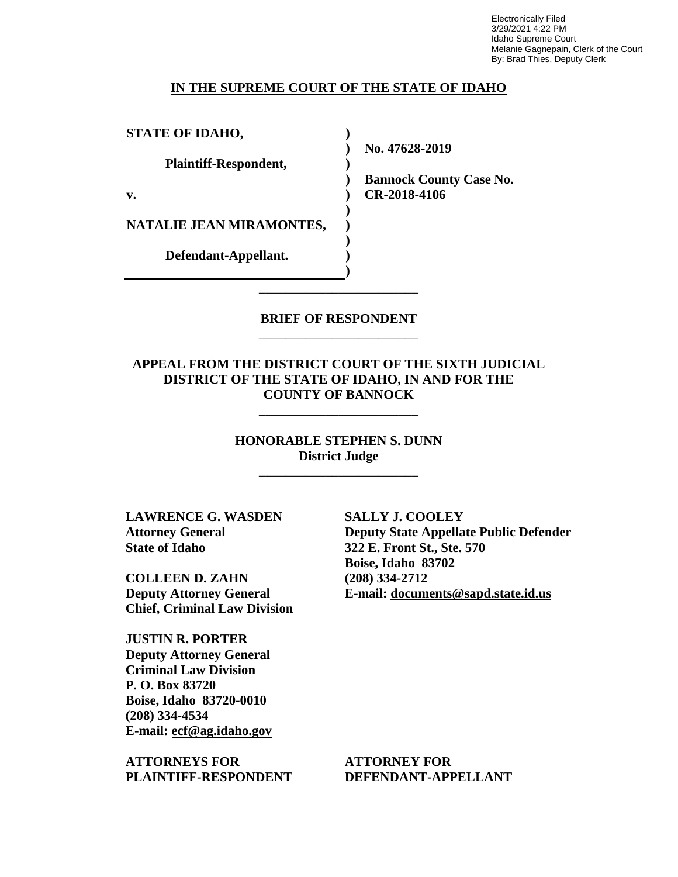Electronically Filed 3/29/2021 4:22 PM Idaho Supreme Court Melanie Gagnepain, Clerk of the Court By: Brad Thies, Deputy Clerk

### **IN THE SUPREME COURT OF THE STATE OF IDAHO**

**) ) ) ) ) ) ) ) ) )**

**STATE OF IDAHO,**

**Plaintiff-Respondent,**

**v.** 

**NATALIE JEAN MIRAMONTES,** 

**Defendant-Appellant.**

**No. 47628-2019** 

**Bannock County Case No. CR-2018-4106** 

### **BRIEF OF RESPONDENT** \_\_\_\_\_\_\_\_\_\_\_\_\_\_\_\_\_\_\_\_\_\_\_\_

\_\_\_\_\_\_\_\_\_\_\_\_\_\_\_\_\_\_\_\_\_\_\_\_

### **APPEAL FROM THE DISTRICT COURT OF THE SIXTH JUDICIAL DISTRICT OF THE STATE OF IDAHO, IN AND FOR THE COUNTY OF BANNOCK**

\_\_\_\_\_\_\_\_\_\_\_\_\_\_\_\_\_\_\_\_\_\_\_\_

**HONORABLE STEPHEN S. DUNN District Judge**

\_\_\_\_\_\_\_\_\_\_\_\_\_\_\_\_\_\_\_\_\_\_\_\_

**LAWRENCE G. WASDEN Attorney General State of Idaho**

**COLLEEN D. ZAHN Deputy Attorney General Chief, Criminal Law Division** 

**JUSTIN R. PORTER Deputy Attorney General Criminal Law Division P. O. Box 83720 Boise, Idaho 83720-0010 (208) 334-4534 E-mail: ecf@ag.idaho.gov** 

**ATTORNEYS FOR PLAINTIFF-RESPONDENT** **SALLY J. COOLEY Deputy State Appellate Public Defender 322 E. Front St., Ste. 570 Boise, Idaho 83702 (208) 334-2712 E-mail: documents@sapd.state.id.us** 

**ATTORNEY FOR DEFENDANT-APPELLANT**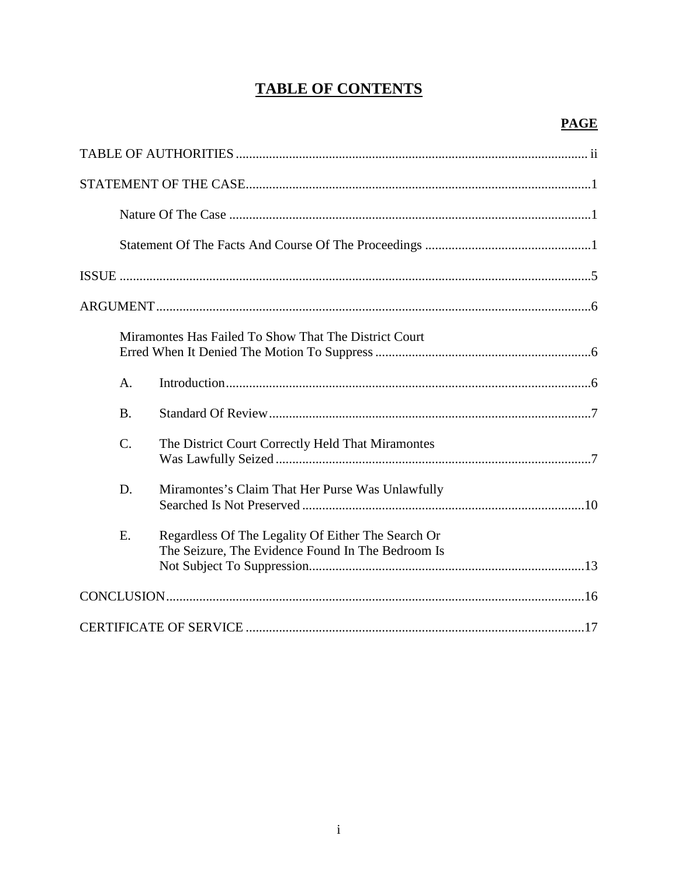# **TABLE OF CONTENTS**

|                 | Miramontes Has Failed To Show That The District Court                                                   |
|-----------------|---------------------------------------------------------------------------------------------------------|
| A.              |                                                                                                         |
| <b>B.</b>       |                                                                                                         |
| $\mathcal{C}$ . | The District Court Correctly Held That Miramontes                                                       |
| D.              | Miramontes's Claim That Her Purse Was Unlawfully                                                        |
| E.              | Regardless Of The Legality Of Either The Search Or<br>The Seizure, The Evidence Found In The Bedroom Is |
|                 |                                                                                                         |
|                 |                                                                                                         |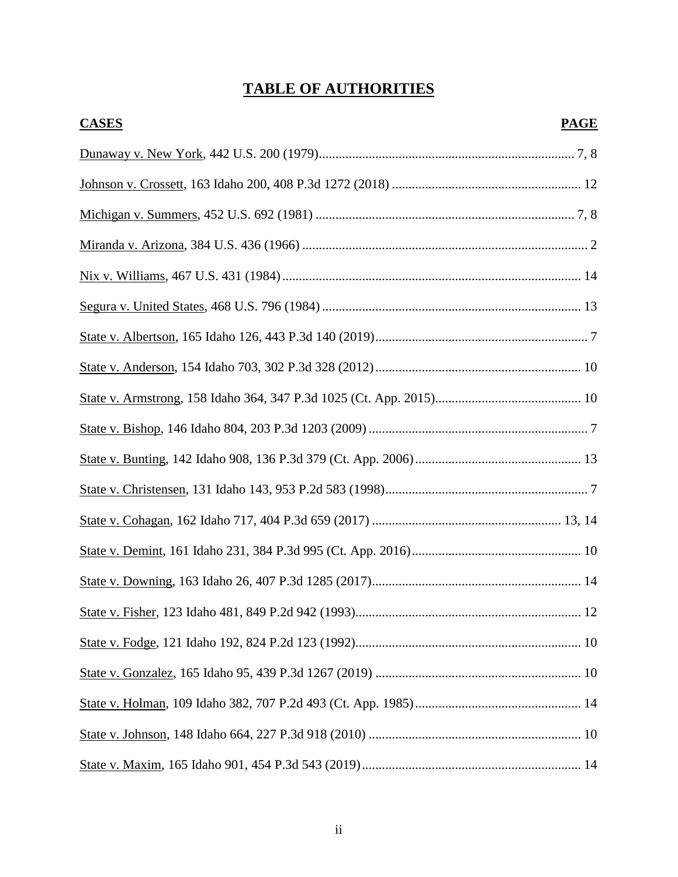# **TABLE OF AUTHORITIES**

| <b>CASES</b> | <b>PAGE</b> |
|--------------|-------------|
|              |             |
|              |             |
|              |             |
|              |             |
|              |             |
|              |             |
|              |             |
|              |             |
|              |             |
|              |             |
|              |             |
|              |             |
|              |             |
|              |             |
|              |             |
|              |             |
|              |             |
|              |             |
|              |             |
|              |             |
|              |             |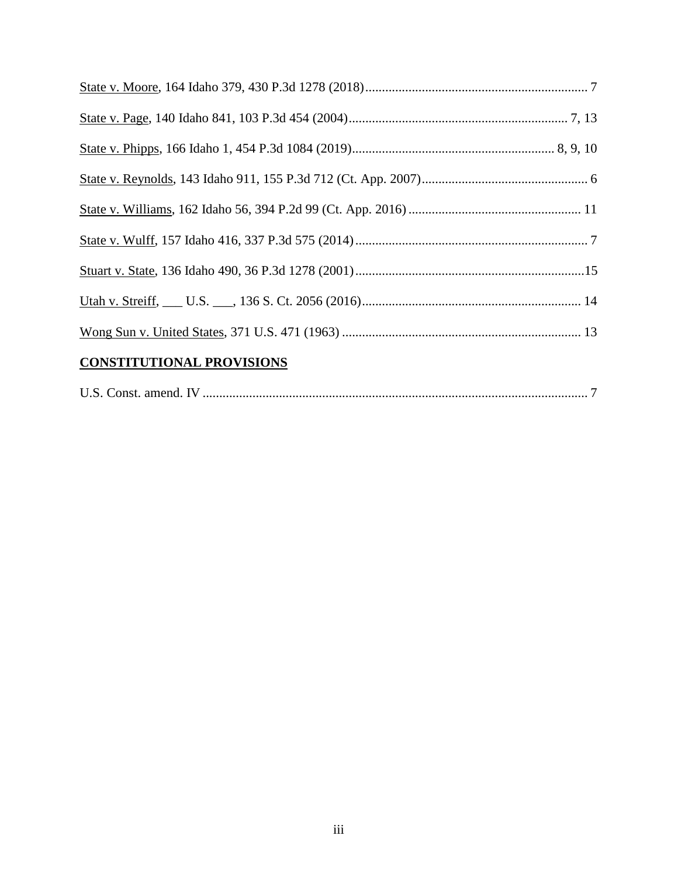| <b>CONSTITUTIONAL PROVISIONS</b> |  |
|----------------------------------|--|

| U.S. Const. amend. IV |  |  |
|-----------------------|--|--|
|-----------------------|--|--|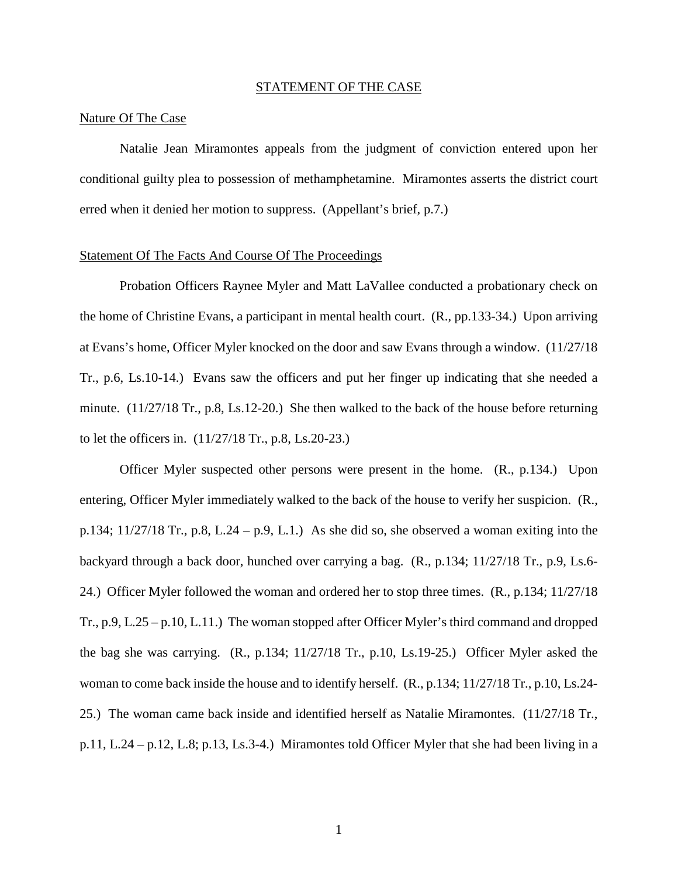#### STATEMENT OF THE CASE

### Nature Of The Case

Natalie Jean Miramontes appeals from the judgment of conviction entered upon her conditional guilty plea to possession of methamphetamine. Miramontes asserts the district court erred when it denied her motion to suppress. (Appellant's brief, p.7.)

### Statement Of The Facts And Course Of The Proceedings

Probation Officers Raynee Myler and Matt LaVallee conducted a probationary check on the home of Christine Evans, a participant in mental health court. (R., pp.133-34.) Upon arriving at Evans's home, Officer Myler knocked on the door and saw Evans through a window. (11/27/18 Tr., p.6, Ls.10-14.) Evans saw the officers and put her finger up indicating that she needed a minute. (11/27/18 Tr., p.8, Ls.12-20.) She then walked to the back of the house before returning to let the officers in. (11/27/18 Tr., p.8, Ls.20-23.)

Officer Myler suspected other persons were present in the home. (R., p.134.) Upon entering, Officer Myler immediately walked to the back of the house to verify her suspicion. (R., p.134;  $11/27/18$  Tr., p.8, L.24 – p.9, L.1.) As she did so, she observed a woman exiting into the backyard through a back door, hunched over carrying a bag. (R., p.134; 11/27/18 Tr., p.9, Ls.6- 24.) Officer Myler followed the woman and ordered her to stop three times. (R., p.134; 11/27/18 Tr., p.9, L.25 – p.10, L.11.) The woman stopped after Officer Myler's third command and dropped the bag she was carrying. (R., p.134; 11/27/18 Tr., p.10, Ls.19-25.) Officer Myler asked the woman to come back inside the house and to identify herself. (R., p.134; 11/27/18 Tr., p.10, Ls.24- 25.) The woman came back inside and identified herself as Natalie Miramontes. (11/27/18 Tr., p.11, L.24 – p.12, L.8; p.13, Ls.3-4.) Miramontes told Officer Myler that she had been living in a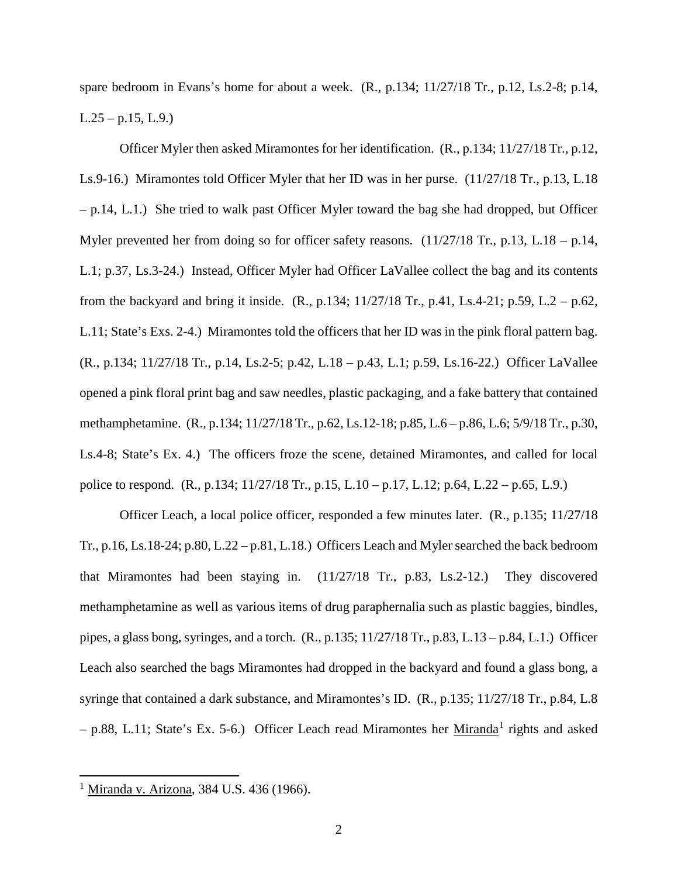spare bedroom in Evans's home for about a week. (R., p.134; 11/27/18 Tr., p.12, Ls.2-8; p.14,  $L.25 - p.15$ ,  $L.9$ .)

Officer Myler then asked Miramontes for her identification. (R., p.134; 11/27/18 Tr., p.12, Ls.9-16.) Miramontes told Officer Myler that her ID was in her purse. (11/27/18 Tr., p.13, L.18  $-$  p.14, L.1.) She tried to walk past Officer Myler toward the bag she had dropped, but Officer Myler prevented her from doing so for officer safety reasons. (11/27/18 Tr., p.13, L.18 – p.14, L.1; p.37, Ls.3-24.) Instead, Officer Myler had Officer LaVallee collect the bag and its contents from the backyard and bring it inside. (R., p.134; 11/27/18 Tr., p.41, Ls.4-21; p.59, L.2 – p.62, L.11; State's Exs. 2-4.) Miramontes told the officers that her ID was in the pink floral pattern bag. (R., p.134; 11/27/18 Tr., p.14, Ls.2-5; p.42, L.18 – p.43, L.1; p.59, Ls.16-22.) Officer LaVallee opened a pink floral print bag and saw needles, plastic packaging, and a fake battery that contained methamphetamine. (R., p.134; 11/27/18 Tr., p.62, Ls.12-18; p.85, L.6 – p.86, L.6; 5/9/18 Tr., p.30, Ls.4-8; State's Ex. 4.) The officers froze the scene, detained Miramontes, and called for local police to respond. (R., p.134; 11/27/18 Tr., p.15, L.10 – p.17, L.12; p.64, L.22 – p.65, L.9.)

Officer Leach, a local police officer, responded a few minutes later. (R., p.135; 11/27/18 Tr., p.16, Ls.18-24; p.80, L.22 – p.81, L.18.) Officers Leach and Myler searched the back bedroom that Miramontes had been staying in. (11/27/18 Tr., p.83, Ls.2-12.) They discovered methamphetamine as well as various items of drug paraphernalia such as plastic baggies, bindles, pipes, a glass bong, syringes, and a torch. (R., p.135; 11/27/18 Tr., p.83, L.13 – p.84, L.1.) Officer Leach also searched the bags Miramontes had dropped in the backyard and found a glass bong, a syringe that contained a dark substance, and Miramontes's ID. (R., p.135; 11/27/18 Tr., p.84, L.8  $-$  p.88, L.[1](#page-6-0)1; State's Ex. 5-6.) Officer Leach read Miramontes her Miranda<sup>1</sup> rights and asked

<span id="page-6-0"></span> 1 Miranda v. Arizona, 384 U.S. 436 (1966).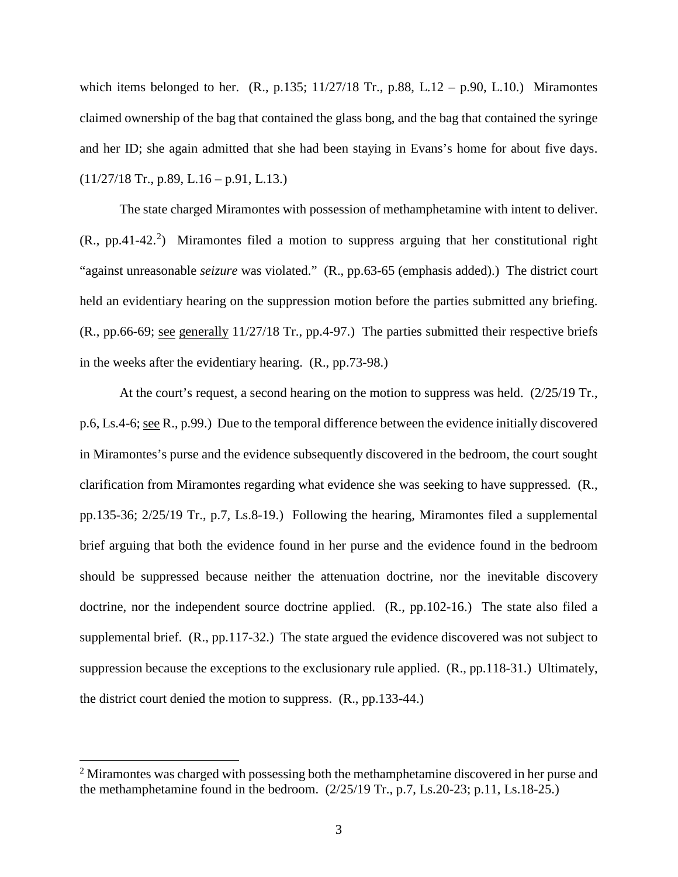which items belonged to her.  $(R., p.135; 11/27/18$  Tr., p.88, L.12 – p.90, L.10.) Miramontes claimed ownership of the bag that contained the glass bong, and the bag that contained the syringe and her ID; she again admitted that she had been staying in Evans's home for about five days.  $(11/27/18$  Tr., p.89, L.16 – p.91, L.13.)

The state charged Miramontes with possession of methamphetamine with intent to deliver.  $(R., pp.41-42.^2)$  $(R., pp.41-42.^2)$  $(R., pp.41-42.^2)$  Miramontes filed a motion to suppress arguing that her constitutional right "against unreasonable *seizure* was violated." (R., pp.63-65 (emphasis added).) The district court held an evidentiary hearing on the suppression motion before the parties submitted any briefing. (R., pp.66-69; see generally 11/27/18 Tr., pp.4-97.) The parties submitted their respective briefs in the weeks after the evidentiary hearing. (R., pp.73-98.)

At the court's request, a second hearing on the motion to suppress was held. (2/25/19 Tr., p.6, Ls.4-6; see R., p.99.) Due to the temporal difference between the evidence initially discovered in Miramontes's purse and the evidence subsequently discovered in the bedroom, the court sought clarification from Miramontes regarding what evidence she was seeking to have suppressed. (R., pp.135-36; 2/25/19 Tr., p.7, Ls.8-19.) Following the hearing, Miramontes filed a supplemental brief arguing that both the evidence found in her purse and the evidence found in the bedroom should be suppressed because neither the attenuation doctrine, nor the inevitable discovery doctrine, nor the independent source doctrine applied. (R., pp.102-16.) The state also filed a supplemental brief. (R., pp.117-32.) The state argued the evidence discovered was not subject to suppression because the exceptions to the exclusionary rule applied. (R., pp.118-31.) Ultimately, the district court denied the motion to suppress. (R., pp.133-44.)

 $\overline{a}$ 

<span id="page-7-0"></span><sup>&</sup>lt;sup>2</sup> Miramontes was charged with possessing both the methamphetamine discovered in her purse and the methamphetamine found in the bedroom. (2/25/19 Tr., p.7, Ls.20-23; p.11, Ls.18-25.)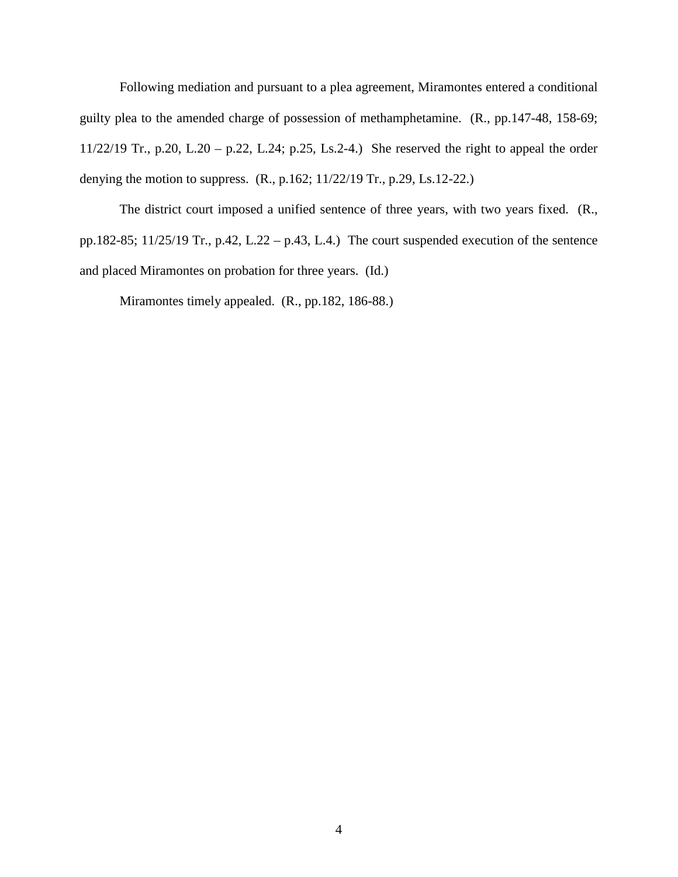Following mediation and pursuant to a plea agreement, Miramontes entered a conditional guilty plea to the amended charge of possession of methamphetamine. (R., pp.147-48, 158-69; 11/22/19 Tr., p.20, L.20 – p.22, L.24; p.25, Ls.2-4.) She reserved the right to appeal the order denying the motion to suppress. (R., p.162; 11/22/19 Tr., p.29, Ls.12-22.)

The district court imposed a unified sentence of three years, with two years fixed. (R., pp.182-85; 11/25/19 Tr., p.42, L.22 – p.43, L.4.) The court suspended execution of the sentence and placed Miramontes on probation for three years. (Id.)

Miramontes timely appealed. (R., pp.182, 186-88.)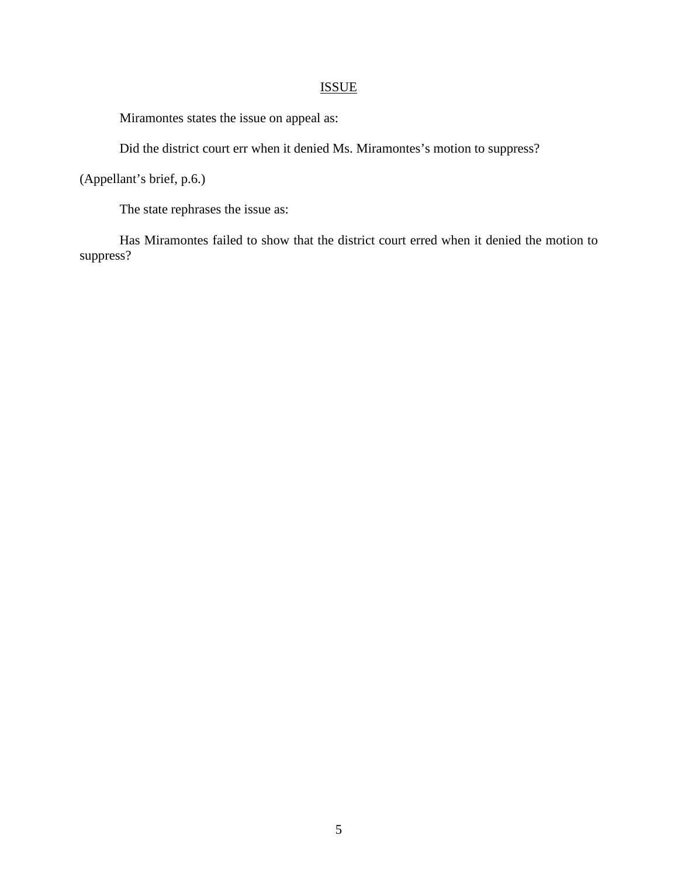### ISSUE

Miramontes states the issue on appeal as:

Did the district court err when it denied Ms. Miramontes's motion to suppress?

(Appellant's brief, p.6.)

The state rephrases the issue as:

Has Miramontes failed to show that the district court erred when it denied the motion to suppress?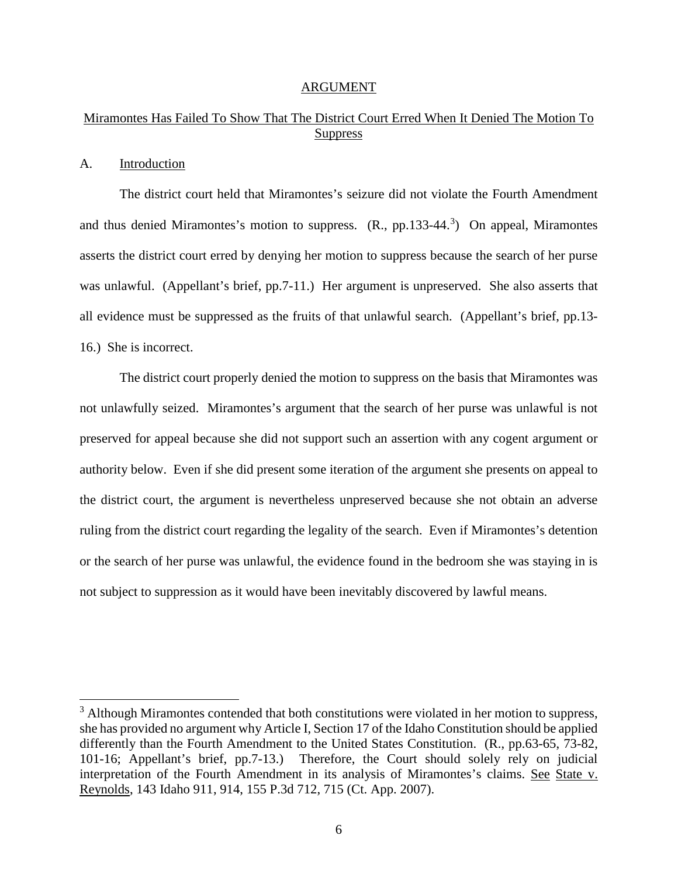#### ARGUMENT

### Miramontes Has Failed To Show That The District Court Erred When It Denied The Motion To **Suppress**

### A. Introduction

 $\overline{a}$ 

The district court held that Miramontes's seizure did not violate the Fourth Amendment and thus denied Miramontes's motion to suppress. (R., pp.1[3](#page-10-0)3-44.<sup>3</sup>) On appeal, Miramontes asserts the district court erred by denying her motion to suppress because the search of her purse was unlawful. (Appellant's brief, pp.7-11.) Her argument is unpreserved. She also asserts that all evidence must be suppressed as the fruits of that unlawful search. (Appellant's brief, pp.13- 16.) She is incorrect.

The district court properly denied the motion to suppress on the basis that Miramontes was not unlawfully seized. Miramontes's argument that the search of her purse was unlawful is not preserved for appeal because she did not support such an assertion with any cogent argument or authority below. Even if she did present some iteration of the argument she presents on appeal to the district court, the argument is nevertheless unpreserved because she not obtain an adverse ruling from the district court regarding the legality of the search. Even if Miramontes's detention or the search of her purse was unlawful, the evidence found in the bedroom she was staying in is not subject to suppression as it would have been inevitably discovered by lawful means.

<span id="page-10-0"></span> $3$  Although Miramontes contended that both constitutions were violated in her motion to suppress, she has provided no argument why Article I, Section 17 of the Idaho Constitution should be applied differently than the Fourth Amendment to the United States Constitution. (R., pp.63-65, 73-82, 101-16; Appellant's brief, pp.7-13.) Therefore, the Court should solely rely on judicial interpretation of the Fourth Amendment in its analysis of Miramontes's claims. See State v. Reynolds, 143 Idaho 911, 914, 155 P.3d 712, 715 (Ct. App. 2007).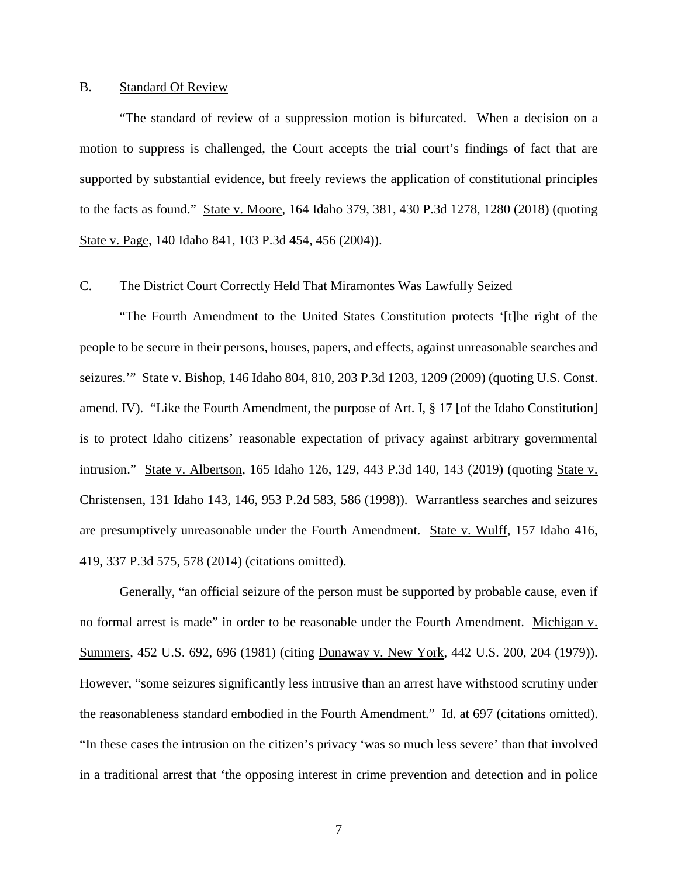### B. Standard Of Review

"The standard of review of a suppression motion is bifurcated. When a decision on a motion to suppress is challenged, the Court accepts the trial court's findings of fact that are supported by substantial evidence, but freely reviews the application of constitutional principles to the facts as found." State v. Moore, 164 Idaho 379, 381, 430 P.3d 1278, 1280 (2018) (quoting State v. Page, 140 Idaho 841, 103 P.3d 454, 456 (2004)).

### C. The District Court Correctly Held That Miramontes Was Lawfully Seized

"The Fourth Amendment to the United States Constitution protects '[t]he right of the people to be secure in their persons, houses, papers, and effects, against unreasonable searches and seizures.'" State v. Bishop, 146 Idaho 804, 810, 203 P.3d 1203, 1209 (2009) (quoting U.S. Const. amend. IV). "Like the Fourth Amendment, the purpose of Art. I, § 17 [of the Idaho Constitution] is to protect Idaho citizens' reasonable expectation of privacy against arbitrary governmental intrusion." State v. Albertson, 165 Idaho 126, 129, 443 P.3d 140, 143 (2019) (quoting State v. Christensen, 131 Idaho 143, 146, 953 P.2d 583, 586 (1998)). Warrantless searches and seizures are presumptively unreasonable under the Fourth Amendment. State v. Wulff, 157 Idaho 416, 419, 337 P.3d 575, 578 (2014) (citations omitted).

Generally, "an official seizure of the person must be supported by probable cause, even if no formal arrest is made" in order to be reasonable under the Fourth Amendment. Michigan v. Summers, 452 U.S. 692, 696 (1981) (citing Dunaway v. New York, 442 U.S. 200, 204 (1979)). However, "some seizures significantly less intrusive than an arrest have withstood scrutiny under the reasonableness standard embodied in the Fourth Amendment." Id. at 697 (citations omitted). "In these cases the intrusion on the citizen's privacy 'was so much less severe' than that involved in a traditional arrest that 'the opposing interest in crime prevention and detection and in police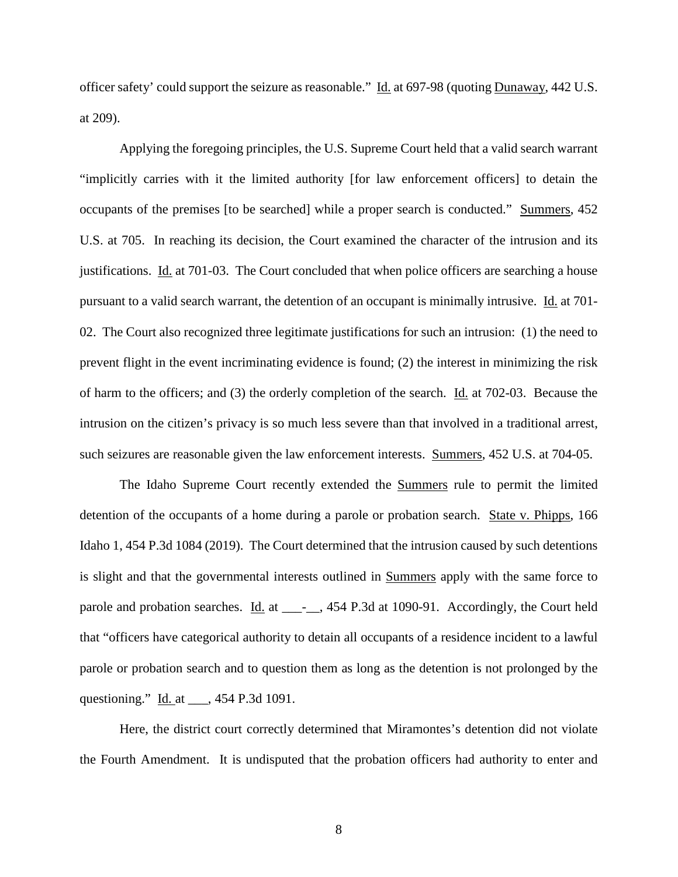officer safety' could support the seizure as reasonable." Id. at 697-98 (quoting Dunaway, 442 U.S. at 209).

Applying the foregoing principles, the U.S. Supreme Court held that a valid search warrant "implicitly carries with it the limited authority [for law enforcement officers] to detain the occupants of the premises [to be searched] while a proper search is conducted." Summers, 452 U.S. at 705. In reaching its decision, the Court examined the character of the intrusion and its justifications. Id. at 701-03. The Court concluded that when police officers are searching a house pursuant to a valid search warrant, the detention of an occupant is minimally intrusive. Id. at 701- 02. The Court also recognized three legitimate justifications for such an intrusion: (1) the need to prevent flight in the event incriminating evidence is found; (2) the interest in minimizing the risk of harm to the officers; and (3) the orderly completion of the search. Id. at 702-03. Because the intrusion on the citizen's privacy is so much less severe than that involved in a traditional arrest, such seizures are reasonable given the law enforcement interests. Summers, 452 U.S. at 704-05.

The Idaho Supreme Court recently extended the Summers rule to permit the limited detention of the occupants of a home during a parole or probation search. State v. Phipps, 166 Idaho 1, 454 P.3d 1084 (2019). The Court determined that the intrusion caused by such detentions is slight and that the governmental interests outlined in Summers apply with the same force to parole and probation searches. Id. at \_\_\_\_\_, 454 P.3d at 1090-91. Accordingly, the Court held that "officers have categorical authority to detain all occupants of a residence incident to a lawful parole or probation search and to question them as long as the detention is not prolonged by the questioning." <u>Id.</u> at \_\_\_, 454 P.3d 1091.

Here, the district court correctly determined that Miramontes's detention did not violate the Fourth Amendment. It is undisputed that the probation officers had authority to enter and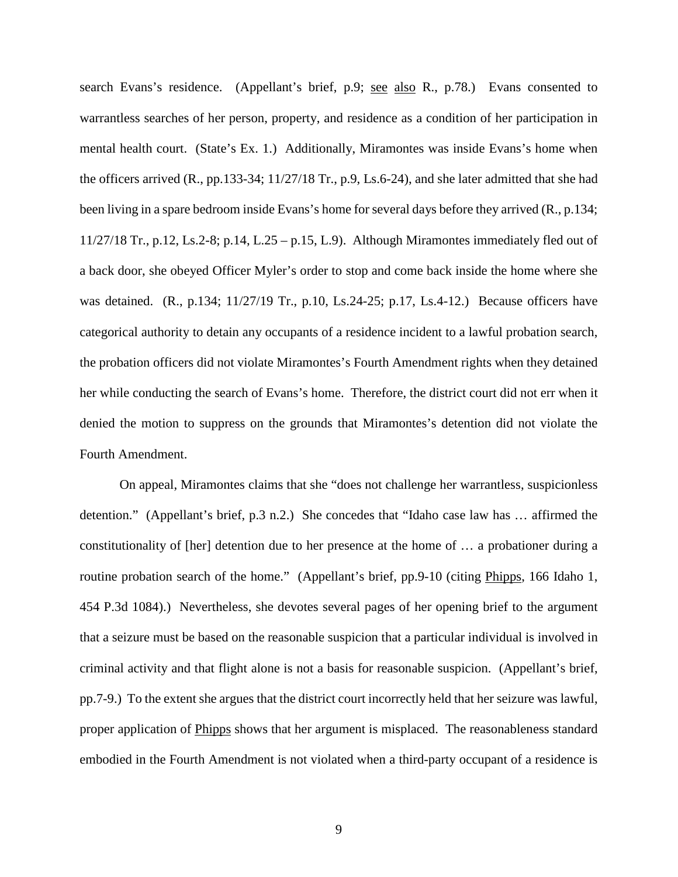search Evans's residence. (Appellant's brief, p.9; see also R., p.78.) Evans consented to warrantless searches of her person, property, and residence as a condition of her participation in mental health court. (State's Ex. 1.) Additionally, Miramontes was inside Evans's home when the officers arrived (R., pp.133-34; 11/27/18 Tr., p.9, Ls.6-24), and she later admitted that she had been living in a spare bedroom inside Evans's home for several days before they arrived (R., p.134; 11/27/18 Tr., p.12, Ls.2-8; p.14, L.25 – p.15, L.9). Although Miramontes immediately fled out of a back door, she obeyed Officer Myler's order to stop and come back inside the home where she was detained. (R., p.134; 11/27/19 Tr., p.10, Ls.24-25; p.17, Ls.4-12.) Because officers have categorical authority to detain any occupants of a residence incident to a lawful probation search, the probation officers did not violate Miramontes's Fourth Amendment rights when they detained her while conducting the search of Evans's home. Therefore, the district court did not err when it denied the motion to suppress on the grounds that Miramontes's detention did not violate the Fourth Amendment.

On appeal, Miramontes claims that she "does not challenge her warrantless, suspicionless detention." (Appellant's brief, p.3 n.2.) She concedes that "Idaho case law has … affirmed the constitutionality of [her] detention due to her presence at the home of … a probationer during a routine probation search of the home." (Appellant's brief, pp.9-10 (citing Phipps, 166 Idaho 1, 454 P.3d 1084).) Nevertheless, she devotes several pages of her opening brief to the argument that a seizure must be based on the reasonable suspicion that a particular individual is involved in criminal activity and that flight alone is not a basis for reasonable suspicion. (Appellant's brief, pp.7-9.) To the extent she argues that the district court incorrectly held that her seizure was lawful, proper application of Phipps shows that her argument is misplaced. The reasonableness standard embodied in the Fourth Amendment is not violated when a third-party occupant of a residence is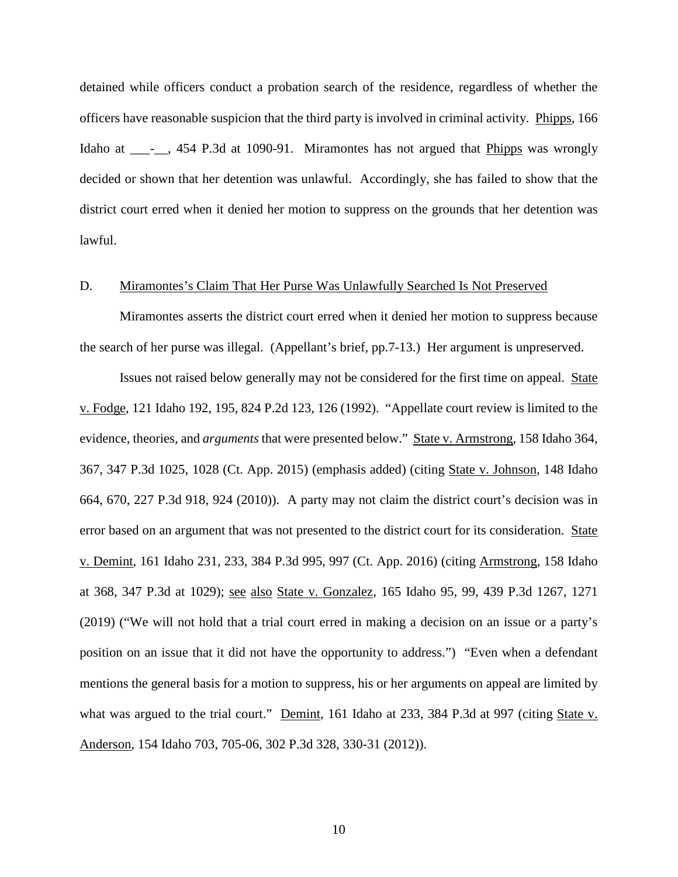detained while officers conduct a probation search of the residence, regardless of whether the officers have reasonable suspicion that the third party is involved in criminal activity. Phipps, 166 Idaho at \_\_\_\_\_, 454 P.3d at 1090-91. Miramontes has not argued that Phipps was wrongly decided or shown that her detention was unlawful. Accordingly, she has failed to show that the district court erred when it denied her motion to suppress on the grounds that her detention was lawful.

### D. Miramontes's Claim That Her Purse Was Unlawfully Searched Is Not Preserved

Miramontes asserts the district court erred when it denied her motion to suppress because the search of her purse was illegal. (Appellant's brief, pp.7-13.) Her argument is unpreserved.

Issues not raised below generally may not be considered for the first time on appeal. State v. Fodge, 121 Idaho 192, 195, 824 P.2d 123, 126 (1992). "Appellate court review is limited to the evidence, theories, and *arguments* that were presented below." State v. Armstrong, 158 Idaho 364, 367, 347 P.3d 1025, 1028 (Ct. App. 2015) (emphasis added) (citing State v. Johnson, 148 Idaho 664, 670, 227 P.3d 918, 924 (2010)). A party may not claim the district court's decision was in error based on an argument that was not presented to the district court for its consideration. State v. Demint, 161 Idaho 231, 233, 384 P.3d 995, 997 (Ct. App. 2016) (citing Armstrong, 158 Idaho at 368, 347 P.3d at 1029); <u>see also State v. Gonzalez</u>, 165 Idaho 95, 99, 439 P.3d 1267, 1271 (2019) ("We will not hold that a trial court erred in making a decision on an issue or a party's position on an issue that it did not have the opportunity to address.") "Even when a defendant mentions the general basis for a motion to suppress, his or her arguments on appeal are limited by what was argued to the trial court." Demint, 161 Idaho at 233, 384 P.3d at 997 (citing State v. Anderson, 154 Idaho 703, 705-06, 302 P.3d 328, 330-31 (2012)).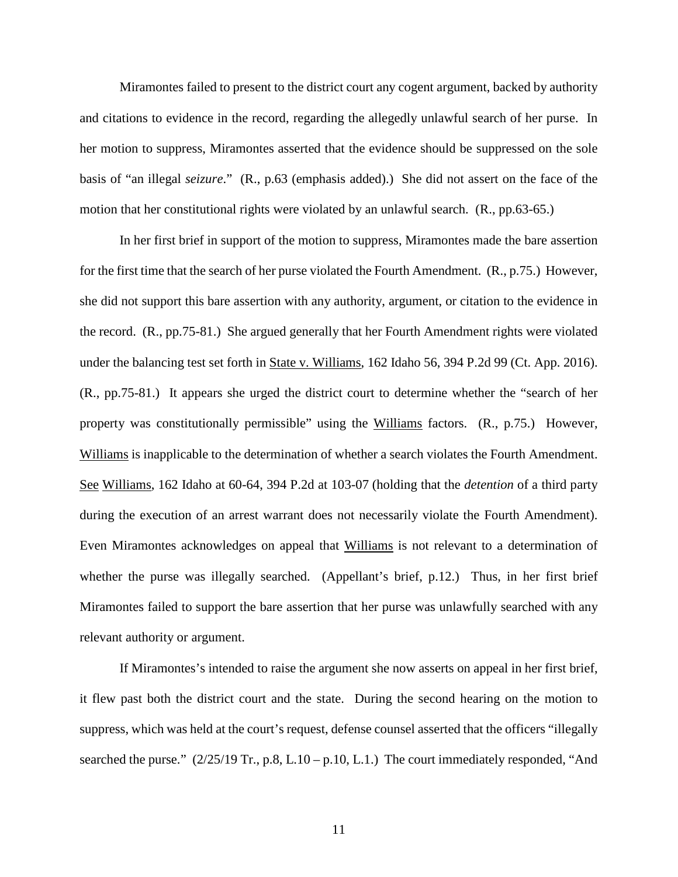Miramontes failed to present to the district court any cogent argument, backed by authority and citations to evidence in the record, regarding the allegedly unlawful search of her purse. In her motion to suppress, Miramontes asserted that the evidence should be suppressed on the sole basis of "an illegal *seizure*." (R., p.63 (emphasis added).) She did not assert on the face of the motion that her constitutional rights were violated by an unlawful search. (R., pp.63-65.)

In her first brief in support of the motion to suppress, Miramontes made the bare assertion for the first time that the search of her purse violated the Fourth Amendment. (R., p.75.) However, she did not support this bare assertion with any authority, argument, or citation to the evidence in the record. (R., pp.75-81.) She argued generally that her Fourth Amendment rights were violated under the balancing test set forth in State v. Williams, 162 Idaho 56, 394 P.2d 99 (Ct. App. 2016). (R., pp.75-81.) It appears she urged the district court to determine whether the "search of her property was constitutionally permissible" using the Williams factors. (R., p.75.) However, Williams is inapplicable to the determination of whether a search violates the Fourth Amendment. See Williams, 162 Idaho at 60-64, 394 P.2d at 103-07 (holding that the *detention* of a third party during the execution of an arrest warrant does not necessarily violate the Fourth Amendment). Even Miramontes acknowledges on appeal that Williams is not relevant to a determination of whether the purse was illegally searched. (Appellant's brief, p.12.) Thus, in her first brief Miramontes failed to support the bare assertion that her purse was unlawfully searched with any relevant authority or argument.

If Miramontes's intended to raise the argument she now asserts on appeal in her first brief, it flew past both the district court and the state. During the second hearing on the motion to suppress, which was held at the court's request, defense counsel asserted that the officers "illegally searched the purse." (2/25/19 Tr., p.8, L.10 – p.10, L.1.) The court immediately responded, "And

11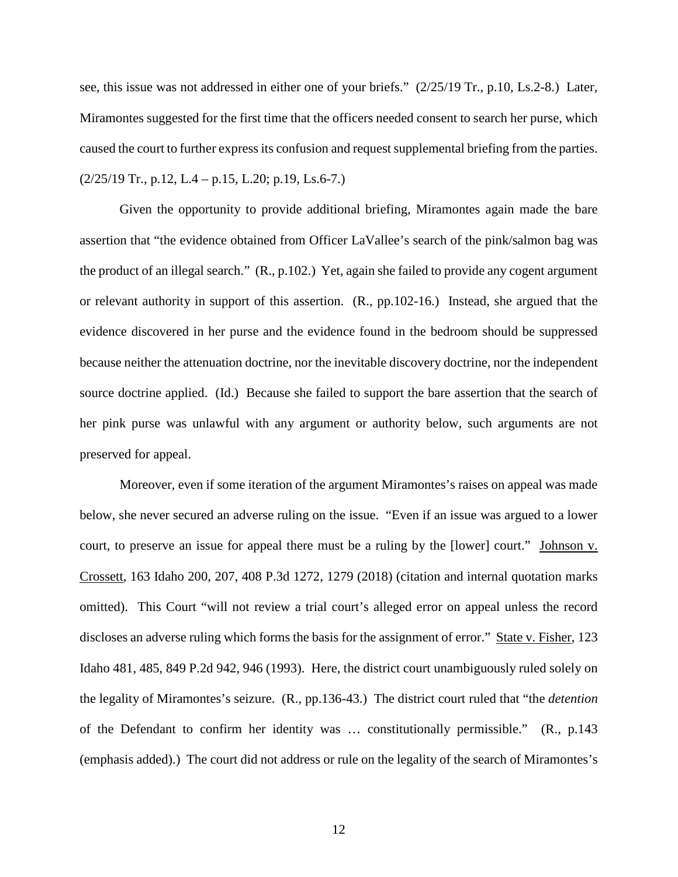see, this issue was not addressed in either one of your briefs." (2/25/19 Tr., p.10, Ls.2-8.) Later, Miramontes suggested for the first time that the officers needed consent to search her purse, which caused the court to further express its confusion and request supplemental briefing from the parties.  $(2/25/19$  Tr., p.12, L.4 – p.15, L.20; p.19, Ls.6-7.)

Given the opportunity to provide additional briefing, Miramontes again made the bare assertion that "the evidence obtained from Officer LaVallee's search of the pink/salmon bag was the product of an illegal search." (R., p.102.) Yet, again she failed to provide any cogent argument or relevant authority in support of this assertion. (R., pp.102-16.) Instead, she argued that the evidence discovered in her purse and the evidence found in the bedroom should be suppressed because neither the attenuation doctrine, nor the inevitable discovery doctrine, nor the independent source doctrine applied. (Id.) Because she failed to support the bare assertion that the search of her pink purse was unlawful with any argument or authority below, such arguments are not preserved for appeal.

Moreover, even if some iteration of the argument Miramontes's raises on appeal was made below, she never secured an adverse ruling on the issue. "Even if an issue was argued to a lower court, to preserve an issue for appeal there must be a ruling by the [lower] court." Johnson v. Crossett, 163 Idaho 200, 207, 408 P.3d 1272, 1279 (2018) (citation and internal quotation marks omitted). This Court "will not review a trial court's alleged error on appeal unless the record discloses an adverse ruling which forms the basis for the assignment of error." State v. Fisher, 123 Idaho 481, 485, 849 P.2d 942, 946 (1993). Here, the district court unambiguously ruled solely on the legality of Miramontes's seizure. (R., pp.136-43.) The district court ruled that "the *detention* of the Defendant to confirm her identity was … constitutionally permissible." (R., p.143 (emphasis added).) The court did not address or rule on the legality of the search of Miramontes's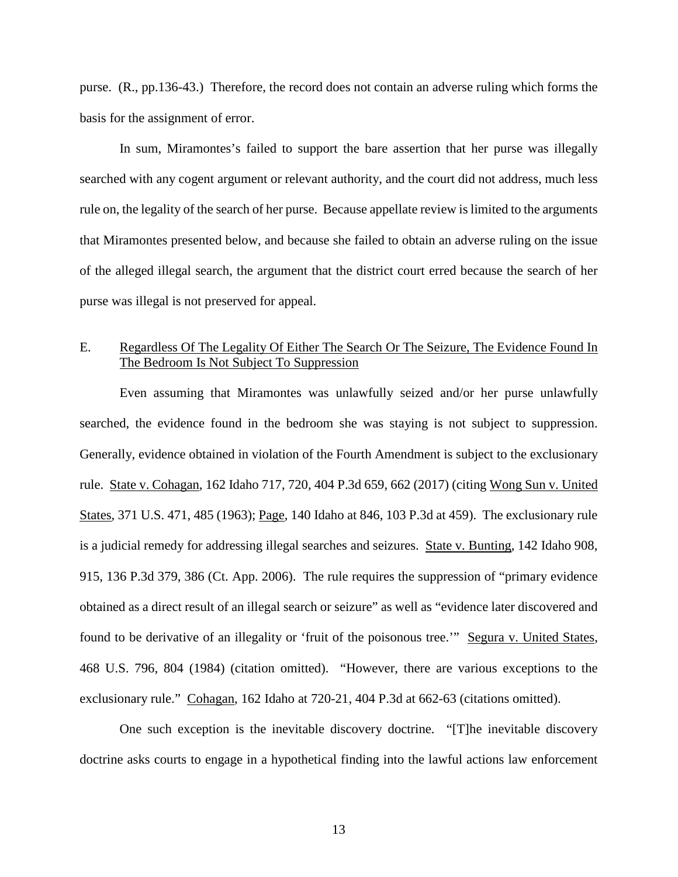purse. (R., pp.136-43.) Therefore, the record does not contain an adverse ruling which forms the basis for the assignment of error.

In sum, Miramontes's failed to support the bare assertion that her purse was illegally searched with any cogent argument or relevant authority, and the court did not address, much less rule on, the legality of the search of her purse. Because appellate review is limited to the arguments that Miramontes presented below, and because she failed to obtain an adverse ruling on the issue of the alleged illegal search, the argument that the district court erred because the search of her purse was illegal is not preserved for appeal.

### E. Regardless Of The Legality Of Either The Search Or The Seizure, The Evidence Found In The Bedroom Is Not Subject To Suppression

 Even assuming that Miramontes was unlawfully seized and/or her purse unlawfully searched, the evidence found in the bedroom she was staying is not subject to suppression. Generally, evidence obtained in violation of the Fourth Amendment is subject to the exclusionary rule. State v. Cohagan, 162 Idaho 717, 720, 404 P.3d 659, 662 (2017) (citing Wong Sun v. United States, 371 U.S. 471, 485 (1963); Page, 140 Idaho at 846, 103 P.3d at 459). The exclusionary rule is a judicial remedy for addressing illegal searches and seizures. State v. Bunting, 142 Idaho 908, 915, 136 P.3d 379, 386 (Ct. App. 2006). The rule requires the suppression of "primary evidence obtained as a direct result of an illegal search or seizure" as well as "evidence later discovered and found to be derivative of an illegality or 'fruit of the poisonous tree.'" Segura v. United States, 468 U.S. 796, 804 (1984) (citation omitted). "However, there are various exceptions to the exclusionary rule." Cohagan, 162 Idaho at 720-21, 404 P.3d at 662-63 (citations omitted).

One such exception is the inevitable discovery doctrine. "[T]he inevitable discovery doctrine asks courts to engage in a hypothetical finding into the lawful actions law enforcement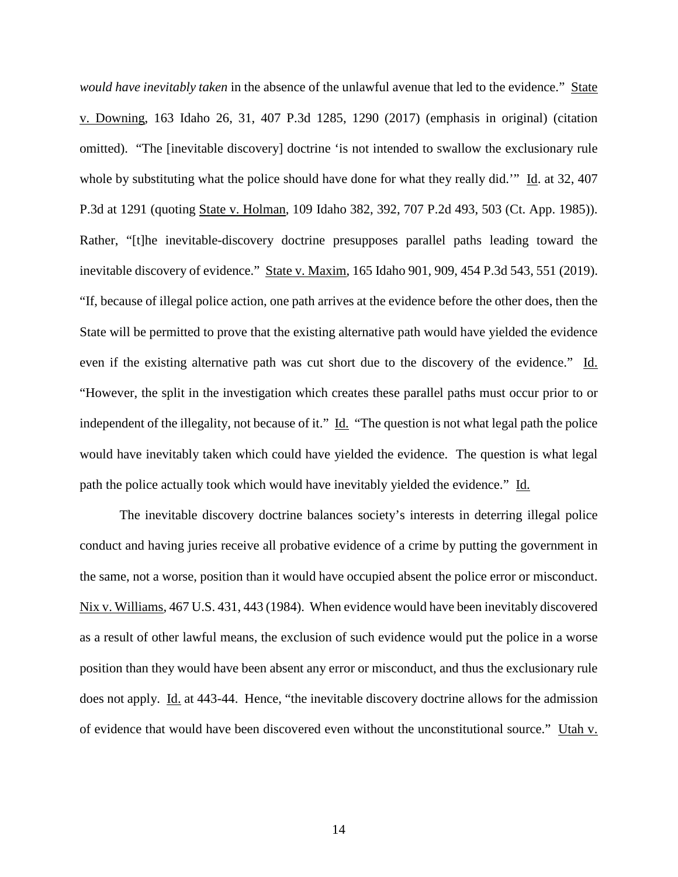*would have inevitably taken* in the absence of the unlawful avenue that led to the evidence." State v. Downing, 163 Idaho 26, 31, 407 P.3d 1285, 1290 (2017) (emphasis in original) (citation omitted). "The [inevitable discovery] doctrine 'is not intended to swallow the exclusionary rule whole by substituting what the police should have done for what they really did.'" Id. at 32, 407 P.3d at 1291 (quoting State v. Holman, 109 Idaho 382, 392, 707 P.2d 493, 503 (Ct. App. 1985)). Rather, "[t]he inevitable-discovery doctrine presupposes parallel paths leading toward the inevitable discovery of evidence." State v. Maxim, 165 Idaho 901, 909, 454 P.3d 543, 551 (2019). "If, because of illegal police action, one path arrives at the evidence before the other does, then the State will be permitted to prove that the existing alternative path would have yielded the evidence even if the existing alternative path was cut short due to the discovery of the evidence." Id. "However, the split in the investigation which creates these parallel paths must occur prior to or independent of the illegality, not because of it." Id. "The question is not what legal path the police would have inevitably taken which could have yielded the evidence. The question is what legal path the police actually took which would have inevitably yielded the evidence." Id.

The inevitable discovery doctrine balances society's interests in deterring illegal police conduct and having juries receive all probative evidence of a crime by putting the government in the same, not a worse, position than it would have occupied absent the police error or misconduct. Nix v. Williams, 467 U.S. 431, 443 (1984). When evidence would have been inevitably discovered as a result of other lawful means, the exclusion of such evidence would put the police in a worse position than they would have been absent any error or misconduct, and thus the exclusionary rule does not apply. Id. at 443-44. Hence, "the inevitable discovery doctrine allows for the admission of evidence that would have been discovered even without the unconstitutional source." Utah v.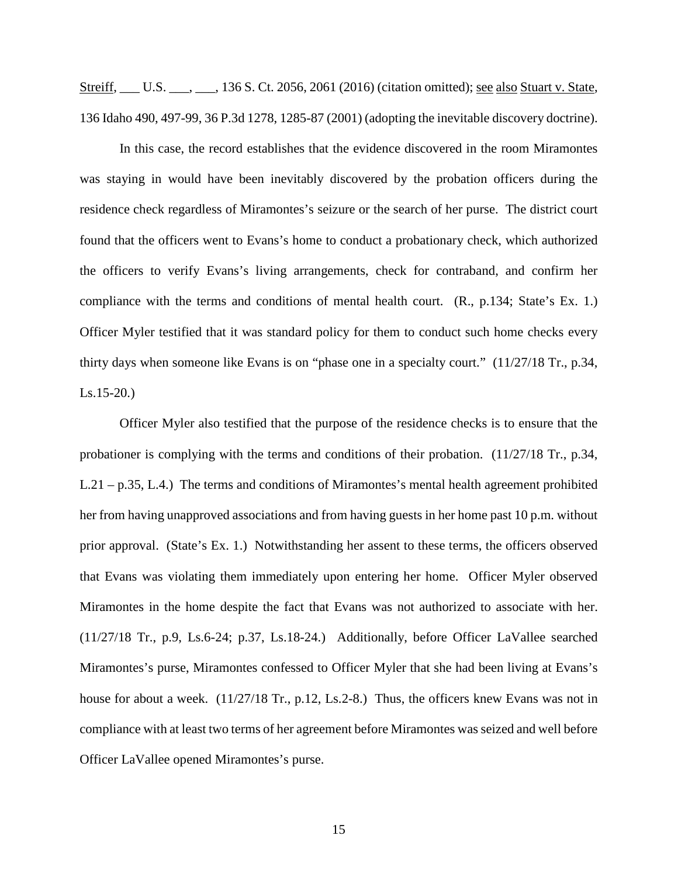Streiff, \_\_\_ U.S. \_\_\_, \_\_\_, 136 S. Ct. 2056, 2061 (2016) (citation omitted); <u>see also Stuart v. State</u>, 136 Idaho 490, 497-99, 36 P.3d 1278, 1285-87 (2001) (adopting the inevitable discovery doctrine).

In this case, the record establishes that the evidence discovered in the room Miramontes was staying in would have been inevitably discovered by the probation officers during the residence check regardless of Miramontes's seizure or the search of her purse. The district court found that the officers went to Evans's home to conduct a probationary check, which authorized the officers to verify Evans's living arrangements, check for contraband, and confirm her compliance with the terms and conditions of mental health court. (R., p.134; State's Ex. 1.) Officer Myler testified that it was standard policy for them to conduct such home checks every thirty days when someone like Evans is on "phase one in a specialty court." (11/27/18 Tr., p.34, Ls.15-20.)

Officer Myler also testified that the purpose of the residence checks is to ensure that the probationer is complying with the terms and conditions of their probation. (11/27/18 Tr., p.34, L.21 – p.35, L.4.) The terms and conditions of Miramontes's mental health agreement prohibited her from having unapproved associations and from having guests in her home past 10 p.m. without prior approval. (State's Ex. 1.) Notwithstanding her assent to these terms, the officers observed that Evans was violating them immediately upon entering her home. Officer Myler observed Miramontes in the home despite the fact that Evans was not authorized to associate with her. (11/27/18 Tr., p.9, Ls.6-24; p.37, Ls.18-24.) Additionally, before Officer LaVallee searched Miramontes's purse, Miramontes confessed to Officer Myler that she had been living at Evans's house for about a week.  $(11/27/18 \text{ Tr}., p.12, Ls.2-8.)$  Thus, the officers knew Evans was not in compliance with at least two terms of her agreement before Miramontes was seized and well before Officer LaVallee opened Miramontes's purse.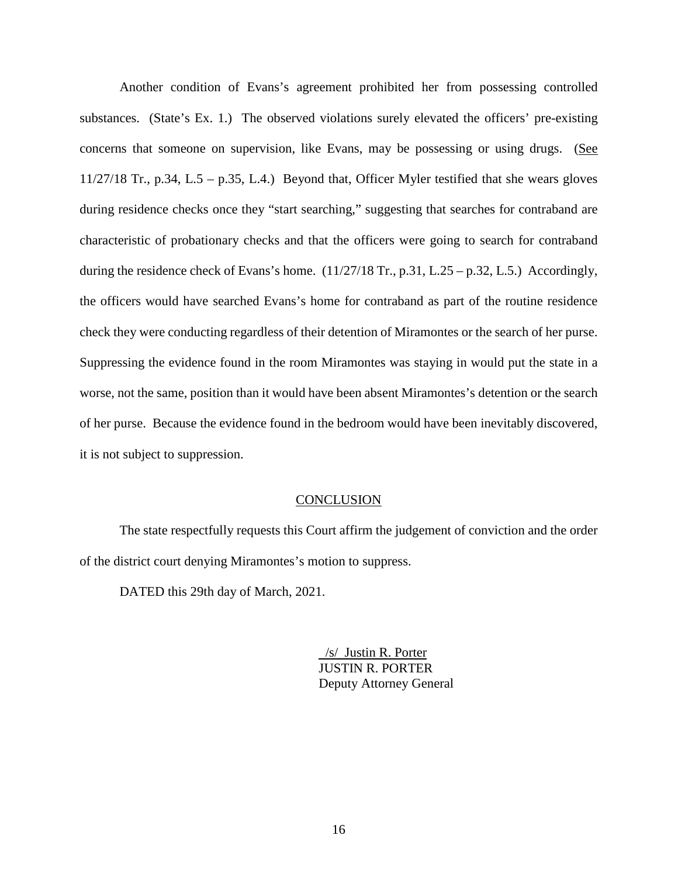Another condition of Evans's agreement prohibited her from possessing controlled substances. (State's Ex. 1.) The observed violations surely elevated the officers' pre-existing concerns that someone on supervision, like Evans, may be possessing or using drugs. (See 11/27/18 Tr., p.34, L.5 – p.35, L.4.) Beyond that, Officer Myler testified that she wears gloves during residence checks once they "start searching," suggesting that searches for contraband are characteristic of probationary checks and that the officers were going to search for contraband during the residence check of Evans's home.  $(11/27/18 \text{ Tr.}, p.31, L.25 - p.32, L.5.)$  Accordingly, the officers would have searched Evans's home for contraband as part of the routine residence check they were conducting regardless of their detention of Miramontes or the search of her purse. Suppressing the evidence found in the room Miramontes was staying in would put the state in a worse, not the same, position than it would have been absent Miramontes's detention or the search of her purse. Because the evidence found in the bedroom would have been inevitably discovered, it is not subject to suppression.

### **CONCLUSION**

The state respectfully requests this Court affirm the judgement of conviction and the order of the district court denying Miramontes's motion to suppress.

DATED this 29th day of March, 2021.

 /s/ Justin R. Porter JUSTIN R. PORTER Deputy Attorney General